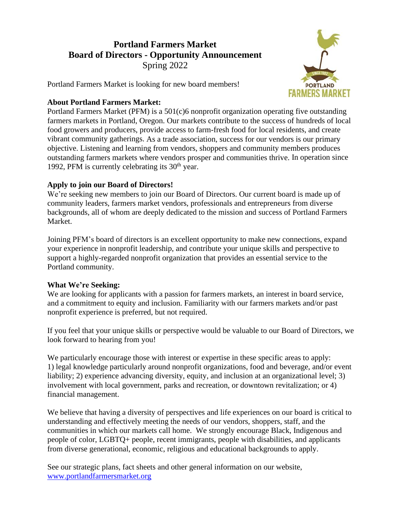# **Portland Farmers Market Board of Directors - Opportunity Announcement** Spring 2022

**PORTLAND FARMERS MARKET** 

Portland Farmers Market is looking for new board members!

#### **About Portland Farmers Market:**

Portland Farmers Market (PFM) is a 501(c)6 nonprofit organization operating five outstanding farmers markets in Portland, Oregon. Our markets contribute to the success of hundreds of local food growers and producers, provide access to farm-fresh food for local residents, and create vibrant community gatherings. As a trade association, success for our vendors is our primary objective. Listening and learning from vendors, shoppers and community members produces outstanding farmers markets where vendors prosper and communities thrive. In operation since 1992, PFM is currently celebrating its  $30<sup>th</sup>$  year.

## **Apply to join our Board of Directors!**

We're seeking new members to join our Board of Directors. Our current board is made up of community leaders, farmers market vendors, professionals and entrepreneurs from diverse backgrounds, all of whom are deeply dedicated to the mission and success of Portland Farmers Market.

Joining PFM's board of directors is an excellent opportunity to make new connections, expand your experience in nonprofit leadership, and contribute your unique skills and perspective to support a highly-regarded nonprofit organization that provides an essential service to the Portland community.

### **What We're Seeking:**

We are looking for applicants with a passion for farmers markets, an interest in board service, and a commitment to equity and inclusion. Familiarity with our farmers markets and/or past nonprofit experience is preferred, but not required.

If you feel that your unique skills or perspective would be valuable to our Board of Directors, we look forward to hearing from you!

We particularly encourage those with interest or expertise in these specific areas to apply: 1) legal knowledge particularly around nonprofit organizations, food and beverage, and/or event liability; 2) experience advancing diversity, equity, and inclusion at an organizational level; 3) involvement with local government, parks and recreation, or downtown revitalization; or 4) financial management.

We believe that having a diversity of perspectives and life experiences on our board is critical to understanding and effectively meeting the needs of our vendors, shoppers, staff, and the communities in which our markets call home. We strongly encourage Black, Indigenous and people of color, LGBTQ+ people, recent immigrants, people with disabilities, and applicants from diverse generational, economic, religious and educational backgrounds to apply.

See our strategic plans, fact sheets and other general information on our website, [www.portlandfarmersmarket.org](http://www.portlandfarmersmarket.org/)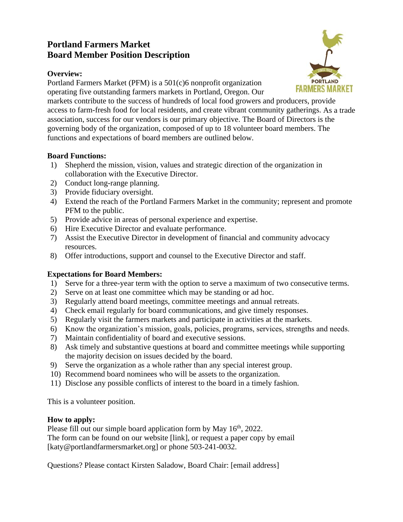# **Portland Farmers Market Board Member Position Description**

## **Overview:**

Portland Farmers Market (PFM) is a 501(c)6 nonprofit organization operating five outstanding farmers markets in Portland, Oregon. Our



markets contribute to the success of hundreds of local food growers and producers, provide access to farm-fresh food for local residents, and create vibrant community gatherings. As a trade association, success for our vendors is our primary objective. The Board of Directors is the governing body of the organization, composed of up to 18 volunteer board members. The functions and expectations of board members are outlined below.

## **Board Functions:**

- 1) Shepherd the mission, vision, values and strategic direction of the organization in collaboration with the Executive Director.
- 2) Conduct long-range planning.
- 3) Provide fiduciary oversight.
- 4) Extend the reach of the Portland Farmers Market in the community; represent and promote PFM to the public.
- 5) Provide advice in areas of personal experience and expertise.
- 6) Hire Executive Director and evaluate performance.
- 7) Assist the Executive Director in development of financial and community advocacy resources.
- 8) Offer introductions, support and counsel to the Executive Director and staff.

# **Expectations for Board Members:**

- 1) Serve for a three-year term with the option to serve a maximum of two consecutive terms.
- 2) Serve on at least one committee which may be standing or ad hoc.
- 3) Regularly attend board meetings, committee meetings and annual retreats.
- 4) Check email regularly for board communications, and give timely responses.
- 5) Regularly visit the farmers markets and participate in activities at the markets.
- 6) Know the organization's mission, goals, policies, programs, services, strengths and needs.
- 7) Maintain confidentiality of board and executive sessions.
- 8) Ask timely and substantive questions at board and committee meetings while supporting the majority decision on issues decided by the board.
- 9) Serve the organization as a whole rather than any special interest group.
- 10) Recommend board nominees who will be assets to the organization.
- 11) Disclose any possible conflicts of interest to the board in a timely fashion.

This is a volunteer position.

# **How to apply:**

Please fill out our simple board application form by May 16<sup>th</sup>, 2022.

The form can be found on our website [link], or request a paper copy by email [katy@portlandfarmersmarket.org] or phone 503-241-0032.

Questions? Please contact Kirsten Saladow, Board Chair: [email address]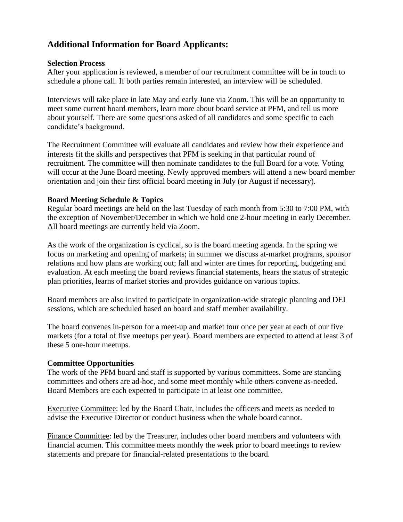# **Additional Information for Board Applicants:**

#### **Selection Process**

After your application is reviewed, a member of our recruitment committee will be in touch to schedule a phone call. If both parties remain interested, an interview will be scheduled.

Interviews will take place in late May and early June via Zoom. This will be an opportunity to meet some current board members, learn more about board service at PFM, and tell us more about yourself. There are some questions asked of all candidates and some specific to each candidate's background.

The Recruitment Committee will evaluate all candidates and review how their experience and interests fit the skills and perspectives that PFM is seeking in that particular round of recruitment. The committee will then nominate candidates to the full Board for a vote. Voting will occur at the June Board meeting. Newly approved members will attend a new board member orientation and join their first official board meeting in July (or August if necessary).

### **Board Meeting Schedule & Topics**

Regular board meetings are held on the last Tuesday of each month from 5:30 to 7:00 PM, with the exception of November/December in which we hold one 2-hour meeting in early December. All board meetings are currently held via Zoom.

As the work of the organization is cyclical, so is the board meeting agenda. In the spring we focus on marketing and opening of markets; in summer we discuss at-market programs, sponsor relations and how plans are working out; fall and winter are times for reporting, budgeting and evaluation. At each meeting the board reviews financial statements, hears the status of strategic plan priorities, learns of market stories and provides guidance on various topics.

Board members are also invited to participate in organization-wide strategic planning and DEI sessions, which are scheduled based on board and staff member availability.

The board convenes in-person for a meet-up and market tour once per year at each of our five markets (for a total of five meetups per year). Board members are expected to attend at least 3 of these 5 one-hour meetups.

### **Committee Opportunities**

The work of the PFM board and staff is supported by various committees. Some are standing committees and others are ad-hoc, and some meet monthly while others convene as-needed. Board Members are each expected to participate in at least one committee.

Executive Committee: led by the Board Chair, includes the officers and meets as needed to advise the Executive Director or conduct business when the whole board cannot.

Finance Committee: led by the Treasurer, includes other board members and volunteers with financial acumen. This committee meets monthly the week prior to board meetings to review statements and prepare for financial-related presentations to the board.